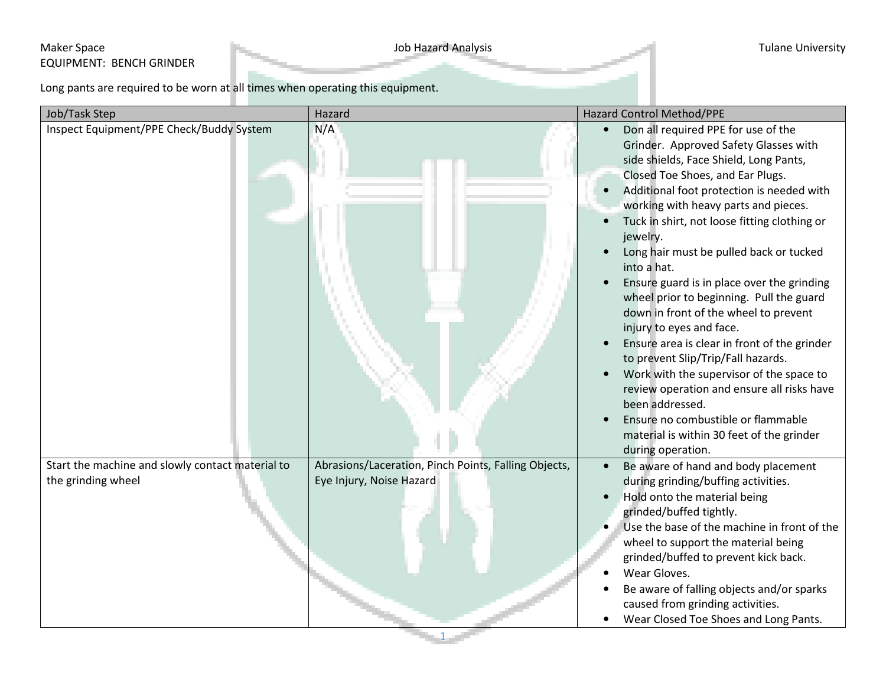## Maker Space **Maker Space** Tulane University EQUIPMENT: BENCH GRINDER

Long pants are required to be worn at all times when operating this equipment.

| Job/Task Step                                    | Hazard                                               | Hazard Control Method/PPE                                                                                                                                                                                                                                                                                                                                                                                                                                                                                                                                                                                                                                                                                                                                                                                                                       |
|--------------------------------------------------|------------------------------------------------------|-------------------------------------------------------------------------------------------------------------------------------------------------------------------------------------------------------------------------------------------------------------------------------------------------------------------------------------------------------------------------------------------------------------------------------------------------------------------------------------------------------------------------------------------------------------------------------------------------------------------------------------------------------------------------------------------------------------------------------------------------------------------------------------------------------------------------------------------------|
| Inspect Equipment/PPE Check/Buddy System         | N/A                                                  | Don all required PPE for use of the<br>Grinder. Approved Safety Glasses with<br>side shields, Face Shield, Long Pants,<br>Closed Toe Shoes, and Ear Plugs.<br>Additional foot protection is needed with<br>working with heavy parts and pieces.<br>Tuck in shirt, not loose fitting clothing or<br>jewelry.<br>Long hair must be pulled back or tucked<br>into a hat.<br>Ensure guard is in place over the grinding<br>wheel prior to beginning. Pull the guard<br>down in front of the wheel to prevent<br>injury to eyes and face.<br>Ensure area is clear in front of the grinder<br>to prevent Slip/Trip/Fall hazards.<br>Work with the supervisor of the space to<br>review operation and ensure all risks have<br>been addressed.<br>Ensure no combustible or flammable<br>material is within 30 feet of the grinder<br>during operation. |
| Start the machine and slowly contact material to | Abrasions/Laceration, Pinch Points, Falling Objects, | Be aware of hand and body placement                                                                                                                                                                                                                                                                                                                                                                                                                                                                                                                                                                                                                                                                                                                                                                                                             |
| the grinding wheel                               | Eye Injury, Noise Hazard                             | during grinding/buffing activities.<br>Hold onto the material being<br>grinded/buffed tightly.<br>Use the base of the machine in front of the<br>wheel to support the material being<br>grinded/buffed to prevent kick back.<br>Wear Gloves.<br>Be aware of falling objects and/or sparks<br>caused from grinding activities.<br>Wear Closed Toe Shoes and Long Pants.                                                                                                                                                                                                                                                                                                                                                                                                                                                                          |

1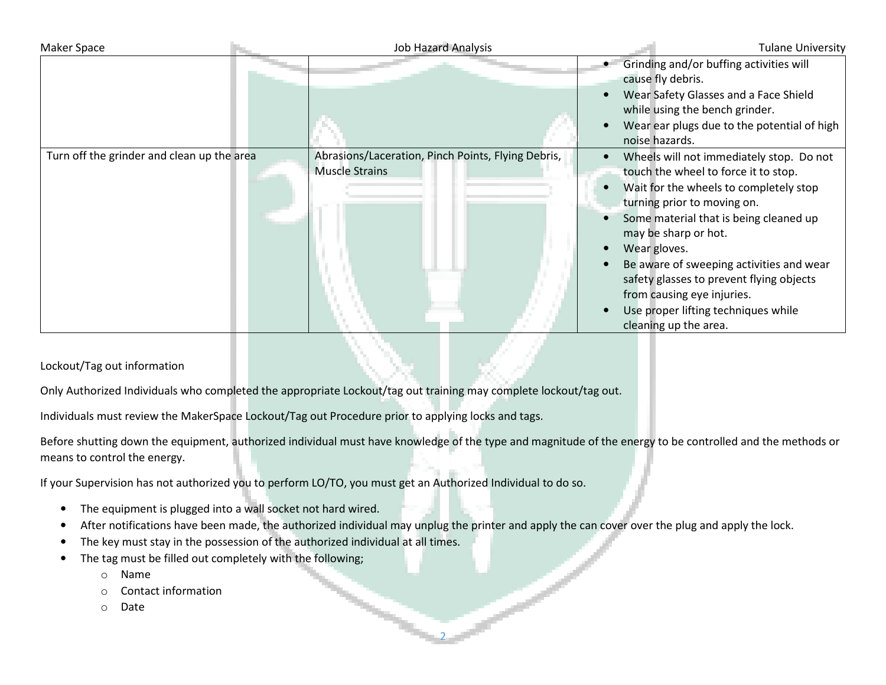| Maker Space                                | <b>Job Hazard Analysis</b> |                                                                             | <b>Tulane University</b>                                                                                                                                                                                                                                                                                                                                                                                                          |  |
|--------------------------------------------|----------------------------|-----------------------------------------------------------------------------|-----------------------------------------------------------------------------------------------------------------------------------------------------------------------------------------------------------------------------------------------------------------------------------------------------------------------------------------------------------------------------------------------------------------------------------|--|
|                                            |                            |                                                                             | Grinding and/or buffing activities will<br>cause fly debris.<br>Wear Safety Glasses and a Face Shield<br>while using the bench grinder.<br>Wear ear plugs due to the potential of high<br>noise hazards.                                                                                                                                                                                                                          |  |
| Turn off the grinder and clean up the area |                            | Abrasions/Laceration, Pinch Points, Flying Debris,<br><b>Muscle Strains</b> | Wheels will not immediately stop. Do not<br>touch the wheel to force it to stop.<br>Wait for the wheels to completely stop<br>turning prior to moving on.<br>Some material that is being cleaned up<br>may be sharp or hot.<br>Wear gloves.<br>Be aware of sweeping activities and wear<br>safety glasses to prevent flying objects<br>from causing eye injuries.<br>Use proper lifting techniques while<br>cleaning up the area. |  |

## Lockout/Tag out information

Only Authorized Individuals who completed the appropriate Lockout/tag out training may complete lockout/tag out.

Individuals must review the MakerSpace Lockout/Tag out Procedure prior to applying locks and tags.

Before shutting down the equipment, authorized individual must have knowledge of the type and magnitude of the energy to be controlled and the methods or means to control the energy.

If your Supervision has not authorized you to perform LO/TO, you must get an Authorized Individual to do so.

- •The equipment is plugged into a wall socket not hard wired.
- •After notifications have been made, the authorized individual may unplug the printer and apply the can cover over the plug and apply the lock.

2

- •The key must stay in the possession of the authorized individual at all times.
- • The tag must be filled out completely with the following;
	- oName
	- oContact information
	- oDate